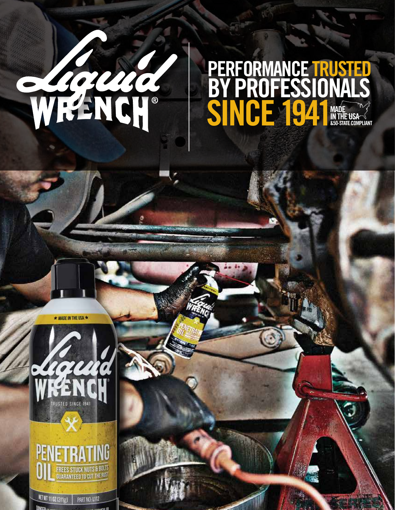

### SINCE 1941 MADE IN THE USA &50-STATE COMPLIANT BY PROFESSIONALS PERFORMANCE TRUSTED







**KET WT 1102 (311g) PART NO: 1112**